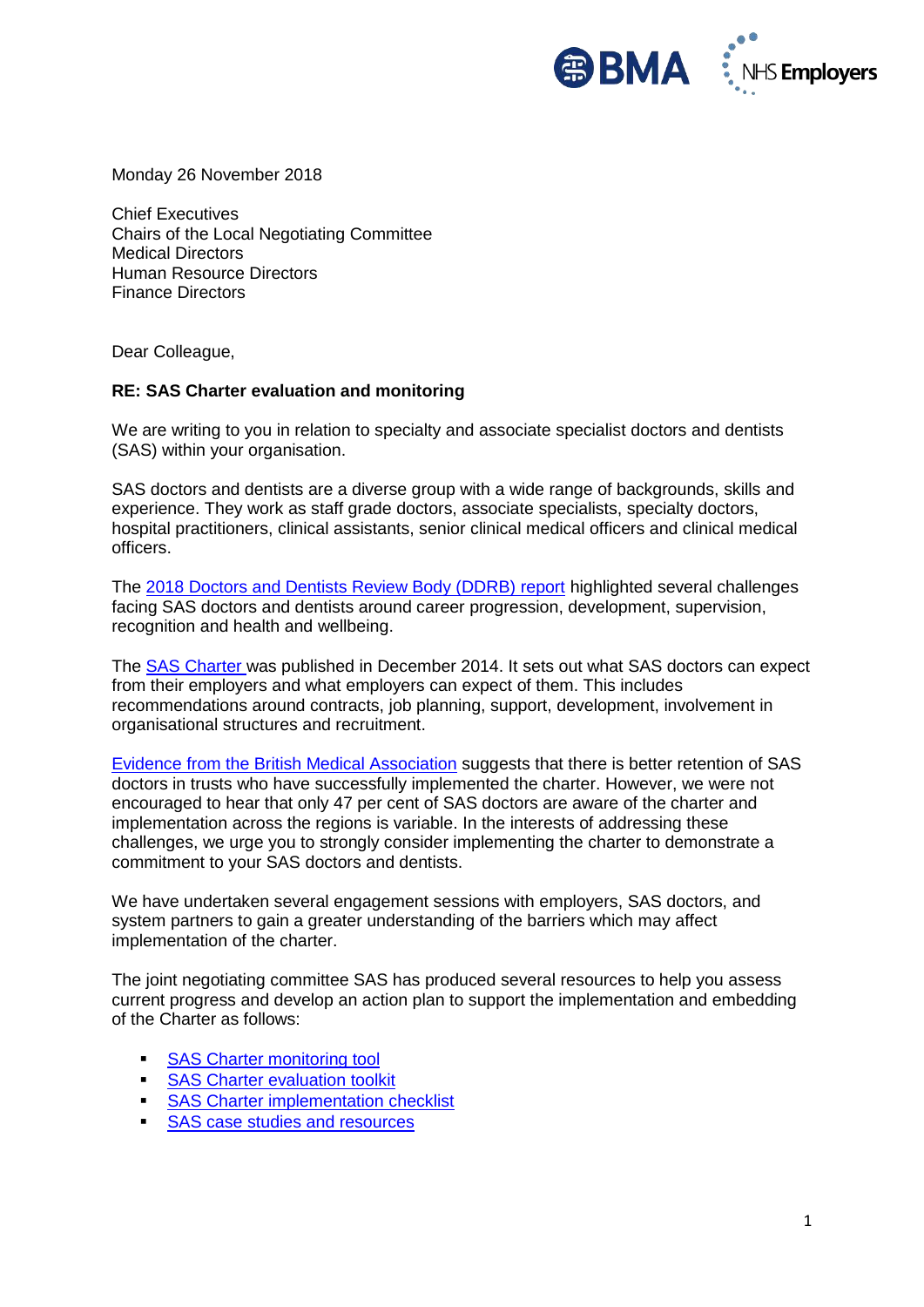

Monday 26 November 2018

Chief Executives Chairs of the Local Negotiating Committee Medical Directors Human Resource Directors Finance Directors

Dear Colleague,

## **RE: SAS Charter evaluation and monitoring**

We are writing to you in relation to specialty and associate specialist doctors and dentists (SAS) within your organisation.

SAS doctors and dentists are a diverse group with a wide range of backgrounds, skills and experience. They work as staff grade doctors, associate specialists, specialty doctors, hospital practitioners, clinical assistants, senior clinical medical officers and clinical medical officers.

The [2018 Doctors and Dentists Review Body \(DDRB\) report](https://www.gov.uk/government/organisations/review-body-on-doctors-and-dentists-remuneration) highlighted several challenges facing SAS doctors and dentists around career progression, development, supervision, recognition and health and wellbeing.

The [SAS Charter w](http://www.nhsemployers.org/your-workforce/pay-and-reward/medical-staff/sas-doctors/sas-charter)as published in December 2014. It sets out what SAS doctors can expect from their employers and what employers can expect of them. This includes recommendations around contracts, job planning, support, development, involvement in organisational structures and recruitment.

[Evidence from the British Medical As](https://www.bma.org.uk/collective-voice/policy-and-research/education-training-and-workforce/sas-doctor-survey)sociation suggests that there is better retention of SAS doctors in trusts who have successfully implemented the charter. However, we were not encouraged to hear that only 47 per cent of SAS doctors are aware of the charter and implementation across the regions is variable. In the interests of addressing these challenges, we urge you to strongly consider implementing the charter to demonstrate a commitment to your SAS doctors and dentists.

We have undertaken several engagement sessions with employers, SAS doctors, and system partners to gain a greater understanding of the barriers which may affect implementation of the charter.

The joint negotiating committee SAS has produced several resources to help you assess current progress and develop an action plan to support the implementation and embedding of the Charter as follows:

- **[SAS Charter monitoring tool](https://www.nhsemployers.org/case-studies-and-resources/2018/11/sas-charter-monitoring-tool-paper-based)**
- **Example 35 [SAS Charter evaluation toolkit](https://www.nhsemployers.org/your-workforce/pay-and-reward/medical-staff/sas-doctors/sas-charter/sas-charter-evaluation-toolkit)**
- **[SAS Charter implementation checklist](https://www.nhsemployers.org/case-studies-and-resources/2018/11/sas-charter-implementation-checklist)**
- [SAS case studies and](https://www.nhsemployers.org/your-workforce/pay-and-reward/medical-staff/sas-doctors/sas-charter/sas-case-studies-and-resources) resources